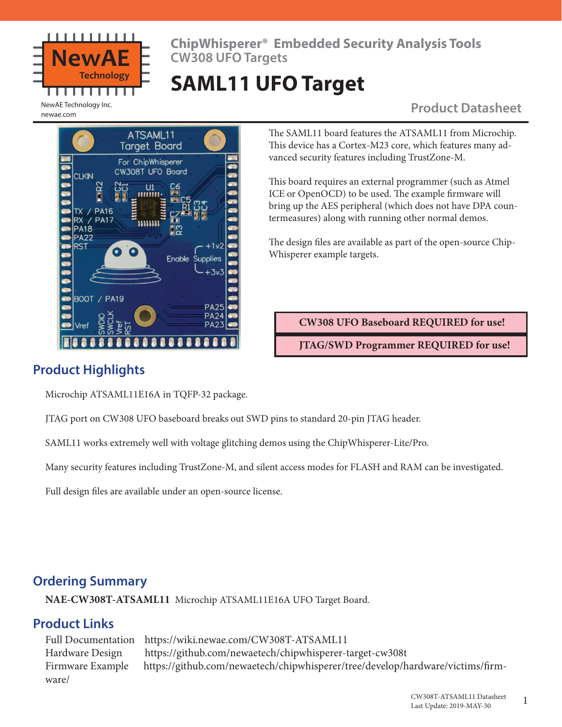

**ChipWhisperer® Embedded Security Analysis Tools CW308 UFO Targets**

# **SAML11 UFO Target**

## **NewAE Technology Inc.**

newae.com



The SAML11 board features the ATSAML11 from Microchip. This device has a Cortex-M23 core, which features many advanced security features including TrustZone-M.

This board requires an external programmer (such as Atmel ICE or OpenOCD) to be used. The example firmware will bring up the AES peripheral (which does not have DPA countermeasures) along with running other normal demos.

The design files are available as part of the open-source Chip-Whisperer example targets.

**CW308 UFO Baseboard REQUIRED for use!**

**JTAG/SWD Programmer REQUIRED for use!**

## **Product Highlights**

Microchip ATSAML11E16A in TQFP-32 package.

JTAG port on CW308 UFO baseboard breaks out SWD pins to standard 20-pin JTAG header.

SAML11 works extremely well with voltage glitching demos using the ChipWhisperer-Lite/Pro.

Many security features including TrustZone-M, and silent access modes for FLASH and RAM can be investigated.

Full design files are available under an open-source license.

### **Ordering Summary**

**NAE-CW308T-ATSAML11** Microchip ATSAML11E16A UFO Target Board.

### **Product Links**

Full Documentation https://wiki.newae.com/CW308T-ATSAML11 Hardware Design https://github.com/newaetech/chipwhisperer-target-cw308t Firmware Example https://github.com/newaetech/chipwhisperer/tree/develop/hardware/victims/firmware/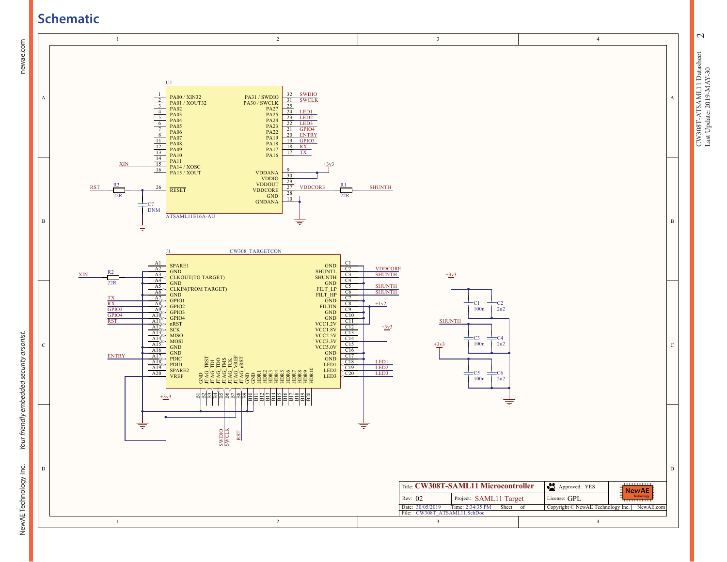## **Schematic**

newae.com



 $\sim$